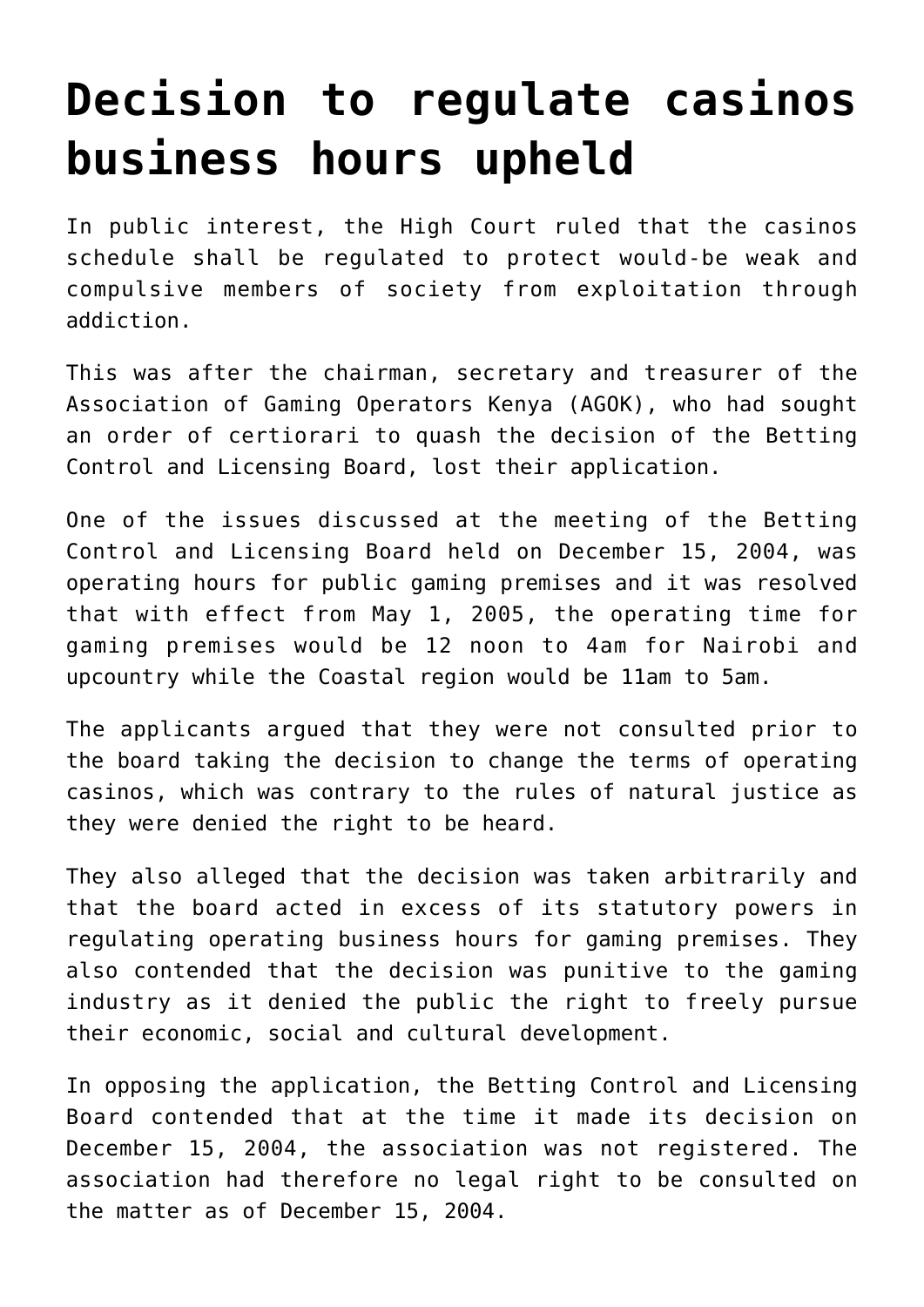## **[Decision to regulate casinos](https://www.isa-guide.de/english-news/articles/17882.html) [business hours upheld](https://www.isa-guide.de/english-news/articles/17882.html)**

In public interest, the High Court ruled that the casinos schedule shall be regulated to protect would-be weak and compulsive members of society from exploitation through addiction.

This was after the chairman, secretary and treasurer of the Association of Gaming Operators Kenya (AGOK), who had sought an order of certiorari to quash the decision of the Betting Control and Licensing Board, lost their application.

One of the issues discussed at the meeting of the Betting Control and Licensing Board held on December 15, 2004, was operating hours for public gaming premises and it was resolved that with effect from May 1, 2005, the operating time for gaming premises would be 12 noon to 4am for Nairobi and upcountry while the Coastal region would be 11am to 5am.

The applicants argued that they were not consulted prior to the board taking the decision to change the terms of operating casinos, which was contrary to the rules of natural justice as they were denied the right to be heard.

They also alleged that the decision was taken arbitrarily and that the board acted in excess of its statutory powers in regulating operating business hours for gaming premises. They also contended that the decision was punitive to the gaming industry as it denied the public the right to freely pursue their economic, social and cultural development.

In opposing the application, the Betting Control and Licensing Board contended that at the time it made its decision on December 15, 2004, the association was not registered. The association had therefore no legal right to be consulted on the matter as of December 15, 2004.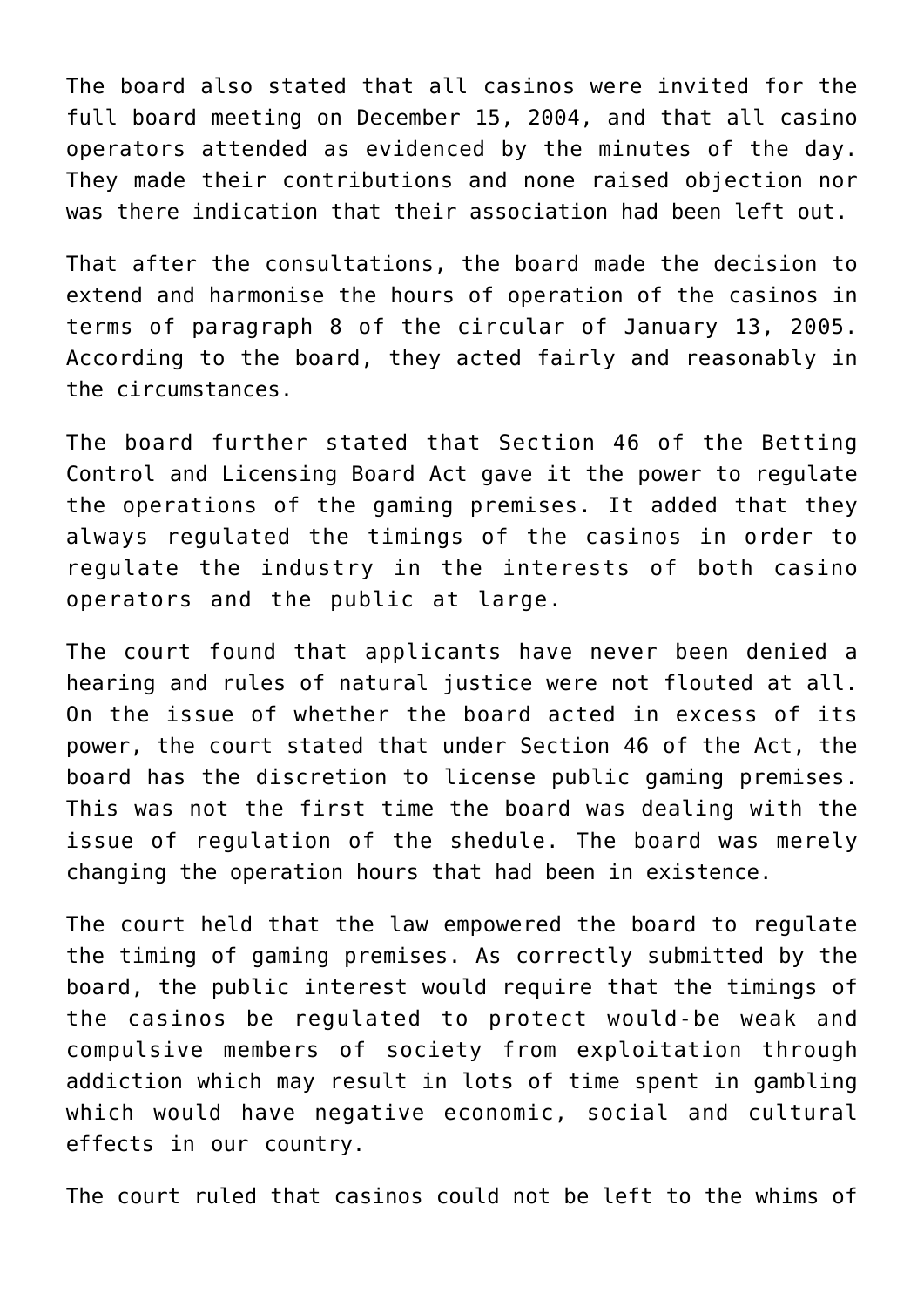The board also stated that all casinos were invited for the full board meeting on December 15, 2004, and that all casino operators attended as evidenced by the minutes of the day. They made their contributions and none raised objection nor was there indication that their association had been left out.

That after the consultations, the board made the decision to extend and harmonise the hours of operation of the casinos in terms of paragraph 8 of the circular of January 13, 2005. According to the board, they acted fairly and reasonably in the circumstances.

The board further stated that Section 46 of the Betting Control and Licensing Board Act gave it the power to regulate the operations of the gaming premises. It added that they always regulated the timings of the casinos in order to regulate the industry in the interests of both casino operators and the public at large.

The court found that applicants have never been denied a hearing and rules of natural justice were not flouted at all. On the issue of whether the board acted in excess of its power, the court stated that under Section 46 of the Act, the board has the discretion to license public gaming premises. This was not the first time the board was dealing with the issue of regulation of the shedule. The board was merely changing the operation hours that had been in existence.

The court held that the law empowered the board to regulate the timing of gaming premises. As correctly submitted by the board, the public interest would require that the timings of the casinos be regulated to protect would-be weak and compulsive members of society from exploitation through addiction which may result in lots of time spent in gambling which would have negative economic, social and cultural effects in our country.

The court ruled that casinos could not be left to the whims of